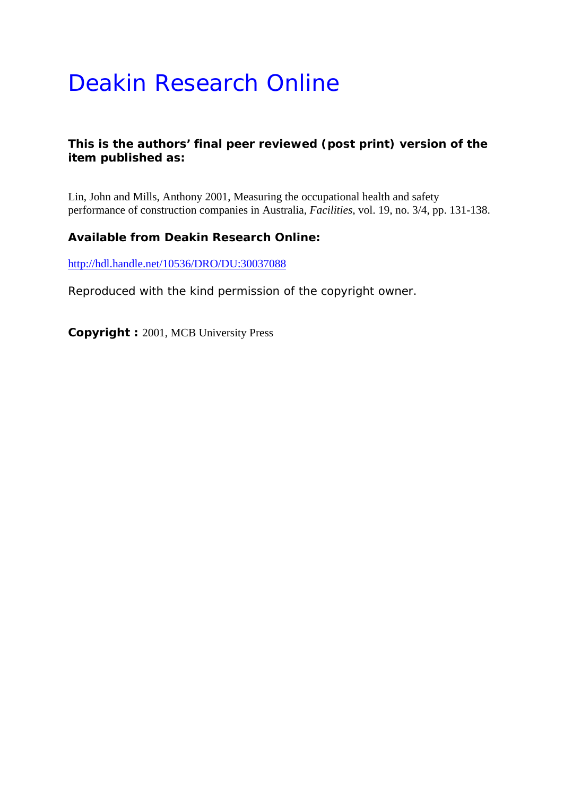# Deakin Research Online

#### **This is the authors' final peer reviewed (post print) version of the item published as:**

Lin, John and Mills, Anthony 2001, Measuring the occupational health and safety performance of construction companies in Australia*, Facilities*, vol. 19, no. 3/4, pp. 131-138.

#### **Available from Deakin Research Online:**

http://hdl.handle.net/10536/DRO/DU:30037088

Reproduced with the kind permission of the copyright owner.

**Copyright :** 2001, MCB University Press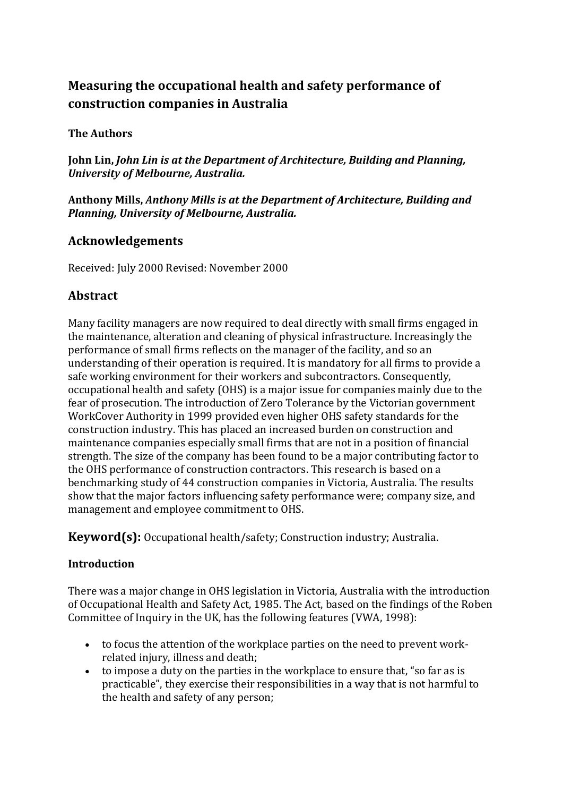### **Measuring the occupational health and safety performance of construction companies in Australia**

#### **The Authors**

**John Lin,** *John Lin is at the Department of Architecture, Building and Planning, University of Melbourne, Australia.*

**Anthony Mills,** *Anthony Mills is at the Department of Architecture, Building and Planning, University of Melbourne, Australia.*

#### **Acknowledgements**

Received: July 2000 Revised: November 2000

#### **Abstract**

Many facility managers are now required to deal directly with small firms engaged in the maintenance, alteration and cleaning of physical infrastructure. Increasingly the performance of small firms reflects on the manager of the facility, and so an understanding of their operation is required. It is mandatory for all firms to provide a safe working environment for their workers and subcontractors. Consequently, occupational health and safety (OHS) is a major issue for companies mainly due to the fear of prosecution. The introduction of Zero Tolerance by the Victorian government WorkCover Authority in 1999 provided even higher OHS safety standards for the construction industry. This has placed an increased burden on construction and maintenance companies especially small firms that are not in a position of financial strength. The size of the company has been found to be a major contributing factor to the OHS performance of construction contractors. This research is based on a benchmarking study of 44 construction companies in Victoria, Australia. The results show that the major factors influencing safety performance were; company size, and management and employee commitment to OHS.

**Keyword(s):** Occupational health/safety; Construction industry; Australia.

#### **Introduction**

There was a major change in OHS legislation in Victoria, Australia with the introduction of Occupational Health and Safety Act, 1985. The Act, based on the findings of the Roben Committee of Inquiry in the UK, has the following features (VWA, 1998):

- to focus the attention of the workplace parties on the need to prevent workrelated injury, illness and death;
- to impose a duty on the parties in the workplace to ensure that, "so far as is practicable", they exercise their responsibilities in a way that is not harmful to the health and safety of any person;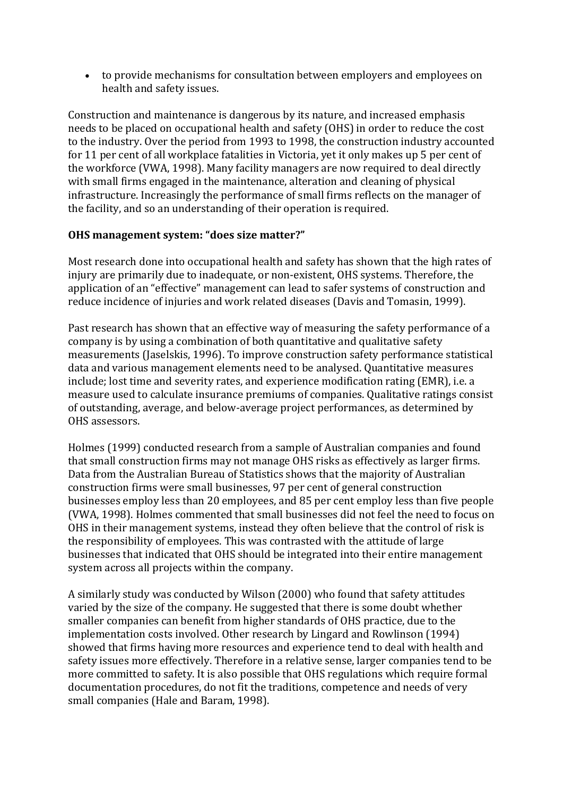• to provide mechanisms for consultation between employers and employees on health and safety issues.

Construction and maintenance is dangerous by its nature, and increased emphasis needs to be placed on occupational health and safety (OHS) in order to reduce the cost to the industry. Over the period from 1993 to 1998, the construction industry accounted for 11 per cent of all workplace fatalities in Victoria, yet it only makes up 5 per cent of the workforce (VWA, 1998). Many facility managers are now required to deal directly with small firms engaged in the maintenance, alteration and cleaning of physical infrastructure. Increasingly the performance of small firms reflects on the manager of the facility, and so an understanding of their operation is required.

#### **OHS management system: "does size matter?"**

Most research done into occupational health and safety has shown that the high rates of injury are primarily due to inadequate, or non-existent, OHS systems. Therefore, the application of an "effective" management can lead to safer systems of construction and reduce incidence of injuries and work related diseases (Davis and Tomasin, 1999).

Past research has shown that an effective way of measuring the safety performance of a company is by using a combination of both quantitative and qualitative safety measurements (Jaselskis, 1996). To improve construction safety performance statistical data and various management elements need to be analysed. Quantitative measures include; lost time and severity rates, and experience modification rating (EMR), i.e. a measure used to calculate insurance premiums of companies. Qualitative ratings consist of outstanding, average, and below-average project performances, as determined by OHS assessors.

Holmes (1999) conducted research from a sample of Australian companies and found that small construction firms may not manage OHS risks as effectively as larger firms. Data from the Australian Bureau of Statistics shows that the majority of Australian construction firms were small businesses, 97 per cent of general construction businesses employ less than 20 employees, and 85 per cent employ less than five people (VWA, 1998). Holmes commented that small businesses did not feel the need to focus on OHS in their management systems, instead they often believe that the control of risk is the responsibility of employees. This was contrasted with the attitude of large businesses that indicated that OHS should be integrated into their entire management system across all projects within the company.

A similarly study was conducted by Wilson (2000) who found that safety attitudes varied by the size of the company. He suggested that there is some doubt whether smaller companies can benefit from higher standards of OHS practice, due to the implementation costs involved. Other research by Lingard and Rowlinson (1994) showed that firms having more resources and experience tend to deal with health and safety issues more effectively. Therefore in a relative sense, larger companies tend to be more committed to safety. It is also possible that OHS regulations which require formal documentation procedures, do not fit the traditions, competence and needs of very small companies (Hale and Baram, 1998).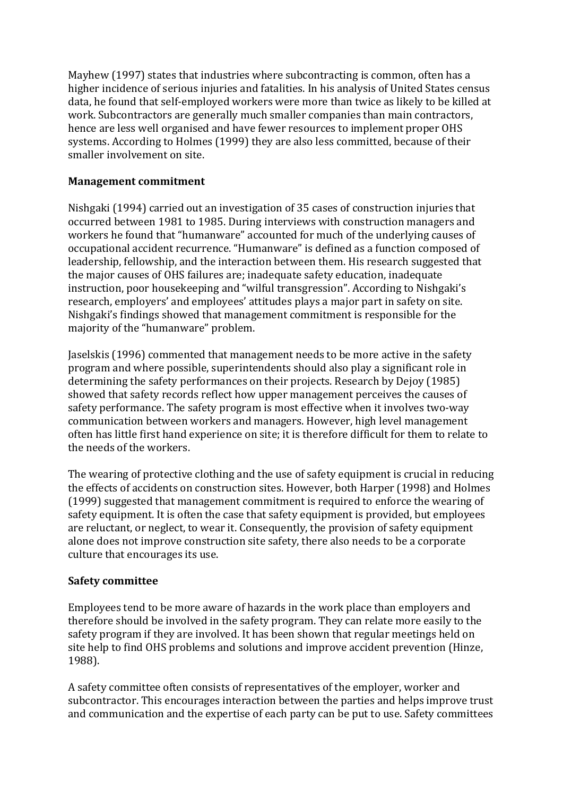Mayhew (1997) states that industries where subcontracting is common, often has a higher incidence of serious injuries and fatalities. In his analysis of United States census data, he found that self-employed workers were more than twice as likely to be killed at work. Subcontractors are generally much smaller companies than main contractors, hence are less well organised and have fewer resources to implement proper OHS systems. According to Holmes (1999) they are also less committed, because of their smaller involvement on site.

#### **Management commitment**

Nishgaki (1994) carried out an investigation of 35 cases of construction injuries that occurred between 1981 to 1985. During interviews with construction managers and workers he found that "humanware" accounted for much of the underlying causes of occupational accident recurrence. "Humanware" is defined as a function composed of leadership, fellowship, and the interaction between them. His research suggested that the major causes of OHS failures are: inadequate safety education, inadequate instruction, poor housekeeping and "wilful transgression". According to Nishgaki's research, employers' and employees' attitudes plays a major part in safety on site. Nishgaki's findings showed that management commitment is responsible for the majority of the "humanware" problem.

Jaselskis (1996) commented that management needs to be more active in the safety program and where possible, superintendents should also play a significant role in determining the safety performances on their projects. Research by Dejoy (1985) showed that safety records reflect how upper management perceives the causes of safety performance. The safety program is most effective when it involves two-way communication between workers and managers. However, high level management often has little first hand experience on site; it is therefore difficult for them to relate to the needs of the workers.

The wearing of protective clothing and the use of safety equipment is crucial in reducing the effects of accidents on construction sites. However, both Harper (1998) and Holmes (1999) suggested that management commitment is required to enforce the wearing of safety equipment. It is often the case that safety equipment is provided, but employees are reluctant, or neglect, to wear it. Consequently, the provision of safety equipment alone does not improve construction site safety, there also needs to be a corporate culture that encourages its use.

#### **Safety committee**

Employees tend to be more aware of hazards in the work place than employers and therefore should be involved in the safety program. They can relate more easily to the safety program if they are involved. It has been shown that regular meetings held on site help to find OHS problems and solutions and improve accident prevention (Hinze, 1988). 

A safety committee often consists of representatives of the employer, worker and subcontractor. This encourages interaction between the parties and helps improve trust and communication and the expertise of each party can be put to use. Safety committees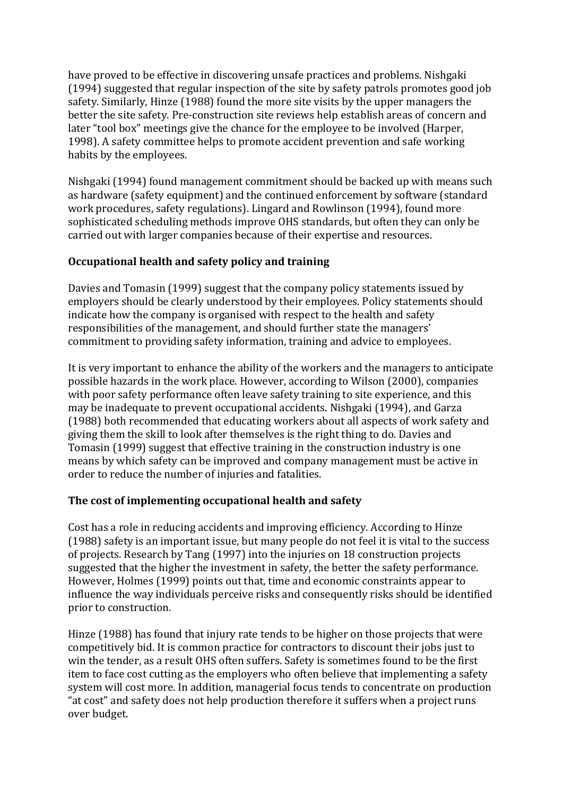have proved to be effective in discovering unsafe practices and problems. Nishgaki  $(1994)$  suggested that regular inspection of the site by safety patrols promotes good job safety. Similarly, Hinze (1988) found the more site visits by the upper managers the better the site safety. Pre-construction site reviews help establish areas of concern and later "tool box" meetings give the chance for the employee to be involved (Harper, 1998). A safety committee helps to promote accident prevention and safe working habits by the employees.

Nishgaki (1994) found management commitment should be backed up with means such as hardware (safety equipment) and the continued enforcement by software (standard work procedures, safety regulations). Lingard and Rowlinson (1994), found more sophisticated scheduling methods improve OHS standards, but often they can only be carried out with larger companies because of their expertise and resources.

#### **Occupational health and safety policy and training**

Davies and Tomasin (1999) suggest that the company policy statements issued by employers should be clearly understood by their employees. Policy statements should indicate how the company is organised with respect to the health and safety responsibilities of the management, and should further state the managers' commitment to providing safety information, training and advice to employees.

It is very important to enhance the ability of the workers and the managers to anticipate possible hazards in the work place. However, according to Wilson (2000), companies with poor safety performance often leave safety training to site experience, and this may be inadequate to prevent occupational accidents. Nishgaki (1994), and Garza (1988) both recommended that educating workers about all aspects of work safety and giving them the skill to look after themselves is the right thing to do. Davies and Tomasin (1999) suggest that effective training in the construction industry is one means by which safety can be improved and company management must be active in order to reduce the number of injuries and fatalities.

#### **The cost of implementing occupational health and safety**

Cost has a role in reducing accidents and improving efficiency. According to Hinze (1988) safety is an important issue, but many people do not feel it is vital to the success of projects. Research by Tang (1997) into the injuries on 18 construction projects suggested that the higher the investment in safety, the better the safety performance. However, Holmes (1999) points out that, time and economic constraints appear to influence the way individuals perceive risks and consequently risks should be identified prior to construction.

Hinze  $(1988)$  has found that injury rate tends to be higher on those projects that were competitively bid. It is common practice for contractors to discount their jobs just to win the tender, as a result OHS often suffers. Safety is sometimes found to be the first item to face cost cutting as the employers who often believe that implementing a safety system will cost more. In addition, managerial focus tends to concentrate on production "at cost" and safety does not help production therefore it suffers when a project runs over budget.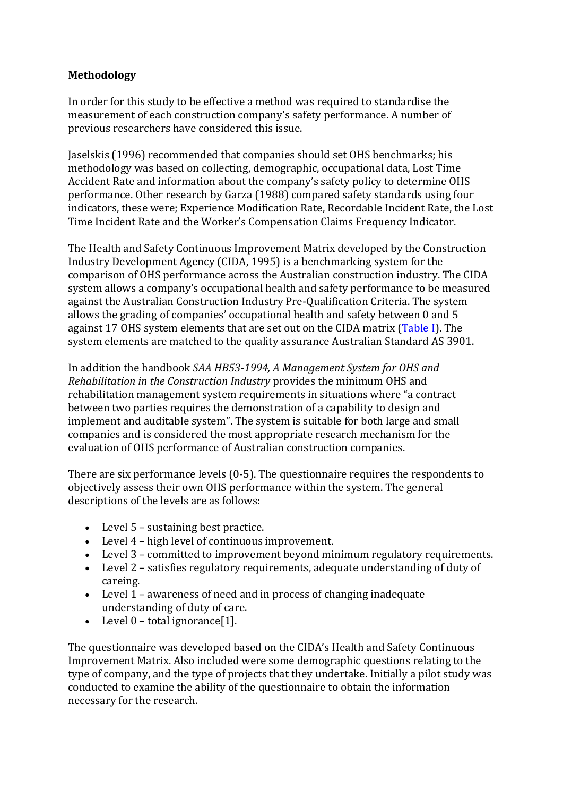#### **Methodology**

In order for this study to be effective a method was required to standardise the measurement of each construction company's safety performance. A number of previous researchers have considered this issue.

Jaselskis (1996) recommended that companies should set OHS benchmarks; his methodology was based on collecting, demographic, occupational data, Lost Time Accident Rate and information about the company's safety policy to determine OHS performance. Other research by Garza (1988) compared safety standards using four indicators, these were; Experience Modification Rate, Recordable Incident Rate, the Lost Time Incident Rate and the Worker's Compensation Claims Frequency Indicator.

The Health and Safety Continuous Improvement Matrix developed by the Construction Industry Development Agency (CIDA, 1995) is a benchmarking system for the comparison of OHS performance across the Australian construction industry. The CIDA system allows a company's occupational health and safety performance to be measured against the Australian Construction Industry Pre-Qualification Criteria. The system allows the grading of companies' occupational health and safety between 0 and 5 against 17 OHS system elements that are set out on the CIDA matrix (Table I). The system elements are matched to the quality assurance Australian Standard AS 3901.

In addition the handbook *SAA HB53‐1994, A Management System for OHS and Rehabilitation in the Construction Industry* provides the minimum OHS and rehabilitation management system requirements in situations where "a contract" between two parties requires the demonstration of a capability to design and implement and auditable system". The system is suitable for both large and small companies and is considered the most appropriate research mechanism for the evaluation of OHS performance of Australian construction companies.

There are six performance levels  $(0-5)$ . The questionnaire requires the respondents to objectively assess their own OHS performance within the system. The general descriptions of the levels are as follows:

- Level  $5$  sustaining best practice.
- Level 4 high level of continuous improvement.
- $\bullet$  Level 3 committed to improvement beyond minimum regulatory requirements.
- Level 2 satisfies regulatory requirements, adequate understanding of duty of careing.
- $\bullet$  Level 1 awareness of need and in process of changing inadequate understanding of duty of care.
- Level  $0$  total ignorance [1].

The questionnaire was developed based on the CIDA's Health and Safety Continuous Improvement Matrix. Also included were some demographic questions relating to the type of company, and the type of projects that they undertake. Initially a pilot study was conducted to examine the ability of the questionnaire to obtain the information necessary for the research.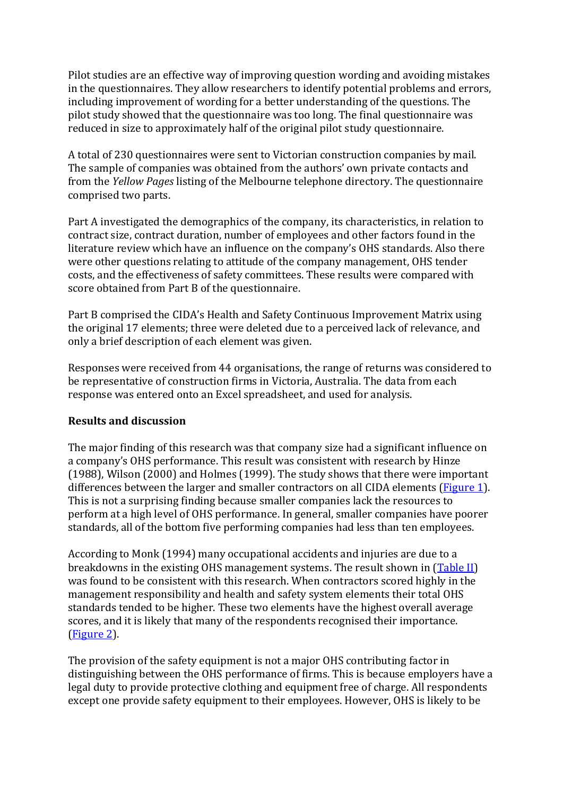Pilot studies are an effective way of improving question wording and avoiding mistakes in the questionnaires. They allow researchers to identify potential problems and errors, including improvement of wording for a better understanding of the questions. The pilot study showed that the questionnaire was too long. The final questionnaire was reduced in size to approximately half of the original pilot study questionnaire.

A total of 230 questionnaires were sent to Victorian construction companies by mail. The sample of companies was obtained from the authors' own private contacts and from the *Yellow Pages* listing of the Melbourne telephone directory. The questionnaire comprised two parts.

Part A investigated the demographics of the company, its characteristics, in relation to contract size, contract duration, number of employees and other factors found in the literature review which have an influence on the company's OHS standards. Also there were other questions relating to attitude of the company management, OHS tender costs, and the effectiveness of safety committees. These results were compared with score obtained from Part B of the questionnaire.

Part B comprised the CIDA's Health and Safety Continuous Improvement Matrix using the original 17 elements; three were deleted due to a perceived lack of relevance, and only a brief description of each element was given.

Responses were received from 44 organisations, the range of returns was considered to be representative of construction firms in Victoria, Australia. The data from each response was entered onto an Excel spreadsheet, and used for analysis.

#### **Results and discussion**

The major finding of this research was that company size had a significant influence on a company's OHS performance. This result was consistent with research by Hinze (1988), Wilson (2000) and Holmes (1999). The study shows that there were important differences between the larger and smaller contractors on all CIDA elements (Figure 1). This is not a surprising finding because smaller companies lack the resources to perform at a high level of OHS performance. In general, smaller companies have poorer standards, all of the bottom five performing companies had less than ten employees.

According to Monk (1994) many occupational accidents and injuries are due to a breakdowns in the existing OHS management systems. The result shown in (Table II) was found to be consistent with this research. When contractors scored highly in the management responsibility and health and safety system elements their total OHS standards tended to be higher. These two elements have the highest overall average scores, and it is likely that many of the respondents recognised their importance. (Figure 2).

The provision of the safety equipment is not a major OHS contributing factor in distinguishing between the OHS performance of firms. This is because employers have a legal duty to provide protective clothing and equipment free of charge. All respondents except one provide safety equipment to their employees. However, OHS is likely to be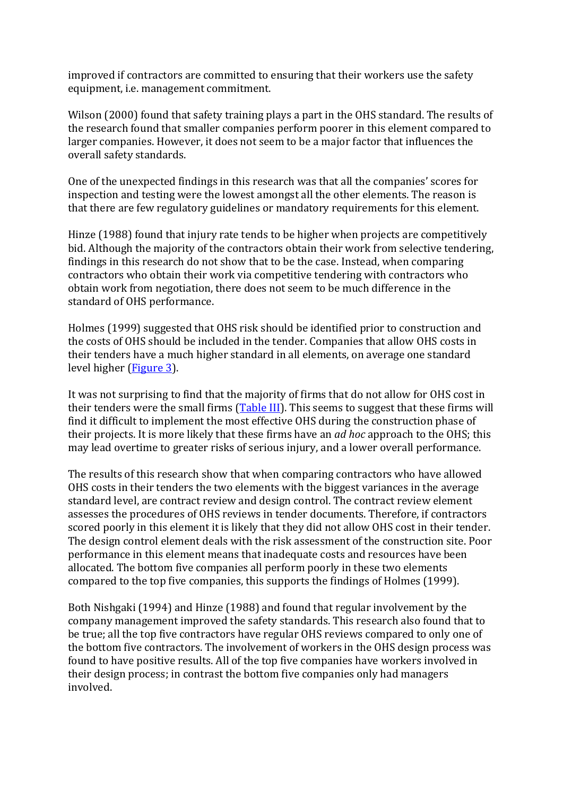improved if contractors are committed to ensuring that their workers use the safety equipment, i.e. management commitment.

Wilson (2000) found that safety training plays a part in the OHS standard. The results of the research found that smaller companies perform poorer in this element compared to larger companies. However, it does not seem to be a major factor that influences the overall safety standards.

One of the unexpected findings in this research was that all the companies' scores for inspection and testing were the lowest amongst all the other elements. The reason is that there are few regulatory guidelines or mandatory requirements for this element.

Hinze  $(1988)$  found that injury rate tends to be higher when projects are competitively bid. Although the majority of the contractors obtain their work from selective tendering, findings in this research do not show that to be the case. Instead, when comparing contractors who obtain their work via competitive tendering with contractors who obtain work from negotiation, there does not seem to be much difference in the standard of OHS performance.

Holmes (1999) suggested that OHS risk should be identified prior to construction and the costs of OHS should be included in the tender. Companies that allow OHS costs in their tenders have a much higher standard in all elements, on average one standard level higher (Figure 3).

It was not surprising to find that the majority of firms that do not allow for OHS cost in their tenders were the small firms (Table III). This seems to suggest that these firms will find it difficult to implement the most effective OHS during the construction phase of their projects. It is more likely that these firms have an *ad hoc* approach to the OHS; this may lead overtime to greater risks of serious injury, and a lower overall performance.

The results of this research show that when comparing contractors who have allowed OHS costs in their tenders the two elements with the biggest variances in the average standard level, are contract review and design control. The contract review element assesses the procedures of OHS reviews in tender documents. Therefore, if contractors scored poorly in this element it is likely that they did not allow OHS cost in their tender. The design control element deals with the risk assessment of the construction site. Poor performance in this element means that inadequate costs and resources have been allocated. The bottom five companies all perform poorly in these two elements compared to the top five companies, this supports the findings of Holmes (1999).

Both Nishgaki (1994) and Hinze (1988) and found that regular involvement by the company management improved the safety standards. This research also found that to be true; all the top five contractors have regular OHS reviews compared to only one of the bottom five contractors. The involvement of workers in the OHS design process was found to have positive results. All of the top five companies have workers involved in their design process; in contrast the bottom five companies only had managers involved.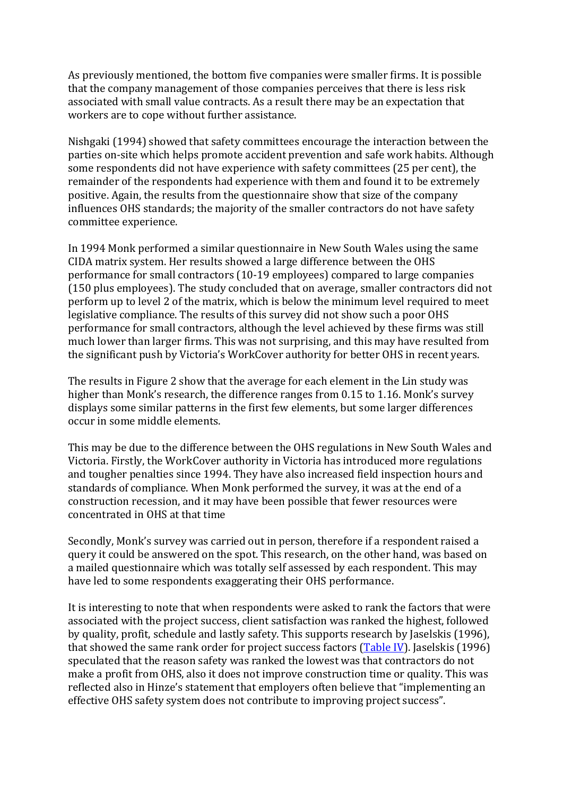As previously mentioned, the bottom five companies were smaller firms. It is possible that the company management of those companies perceives that there is less risk associated with small value contracts. As a result there may be an expectation that workers are to cope without further assistance.

Nishgaki (1994) showed that safety committees encourage the interaction between the parties on-site which helps promote accident prevention and safe work habits. Although some respondents did not have experience with safety committees (25 per cent), the remainder of the respondents had experience with them and found it to be extremely positive. Again, the results from the questionnaire show that size of the company influences OHS standards; the majority of the smaller contractors do not have safety committee experience.

In 1994 Monk performed a similar questionnaire in New South Wales using the same CIDA matrix system. Her results showed a large difference between the OHS performance for small contractors (10-19 employees) compared to large companies (150 plus employees). The study concluded that on average, smaller contractors did not perform up to level 2 of the matrix, which is below the minimum level required to meet legislative compliance. The results of this survey did not show such a poor OHS performance for small contractors, although the level achieved by these firms was still much lower than larger firms. This was not surprising, and this may have resulted from the significant push by Victoria's WorkCover authority for better OHS in recent years.

The results in Figure 2 show that the average for each element in the Lin study was higher than Monk's research, the difference ranges from  $0.15$  to  $1.16$ . Monk's survey displays some similar patterns in the first few elements, but some larger differences occur in some middle elements.

This may be due to the difference between the OHS regulations in New South Wales and Victoria. Firstly, the WorkCover authority in Victoria has introduced more regulations and tougher penalties since 1994. They have also increased field inspection hours and standards of compliance. When Monk performed the survey, it was at the end of a construction recession, and it may have been possible that fewer resources were concentrated in OHS at that time

Secondly, Monk's survey was carried out in person, therefore if a respondent raised a query it could be answered on the spot. This research, on the other hand, was based on a mailed questionnaire which was totally self assessed by each respondent. This may have led to some respondents exaggerating their OHS performance.

It is interesting to note that when respondents were asked to rank the factors that were associated with the project success, client satisfaction was ranked the highest, followed by quality, profit, schedule and lastly safety. This supports research by Jaselskis (1996), that showed the same rank order for project success factors  $(Table IV)$ . Jaselskis  $(1996)$ speculated that the reason safety was ranked the lowest was that contractors do not make a profit from OHS, also it does not improve construction time or quality. This was reflected also in Hinze's statement that employers often believe that "implementing an effective OHS safety system does not contribute to improving project success".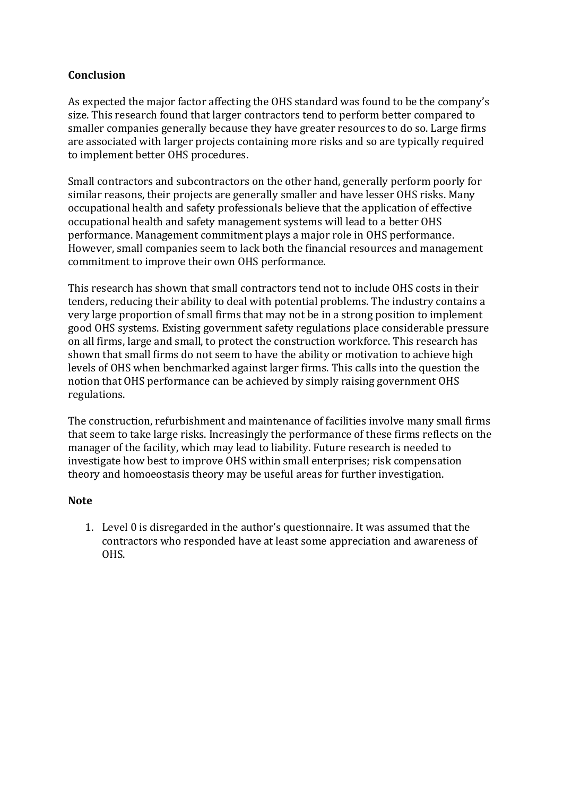#### **Conclusion**

As expected the major factor affecting the OHS standard was found to be the company's size. This research found that larger contractors tend to perform better compared to smaller companies generally because they have greater resources to do so. Large firms are associated with larger projects containing more risks and so are typically required to implement better OHS procedures.

Small contractors and subcontractors on the other hand, generally perform poorly for similar reasons, their projects are generally smaller and have lesser OHS risks. Many occupational health and safety professionals believe that the application of effective occupational health and safety management systems will lead to a better OHS performance. Management commitment plays a major role in OHS performance. However, small companies seem to lack both the financial resources and management commitment to improve their own OHS performance.

This research has shown that small contractors tend not to include OHS costs in their tenders, reducing their ability to deal with potential problems. The industry contains a very large proportion of small firms that may not be in a strong position to implement good OHS systems. Existing government safety regulations place considerable pressure on all firms, large and small, to protect the construction workforce. This research has shown that small firms do not seem to have the ability or motivation to achieve high levels of OHS when benchmarked against larger firms. This calls into the question the notion that OHS performance can be achieved by simply raising government OHS regulations. 

The construction, refurbishment and maintenance of facilities involve many small firms that seem to take large risks. Increasingly the performance of these firms reflects on the manager of the facility, which may lead to liability. Future research is needed to investigate how best to improve OHS within small enterprises; risk compensation theory and homoeostasis theory may be useful areas for further investigation.

#### **Note**

1. Level 0 is disregarded in the author's questionnaire. It was assumed that the contractors who responded have at least some appreciation and awareness of OHS.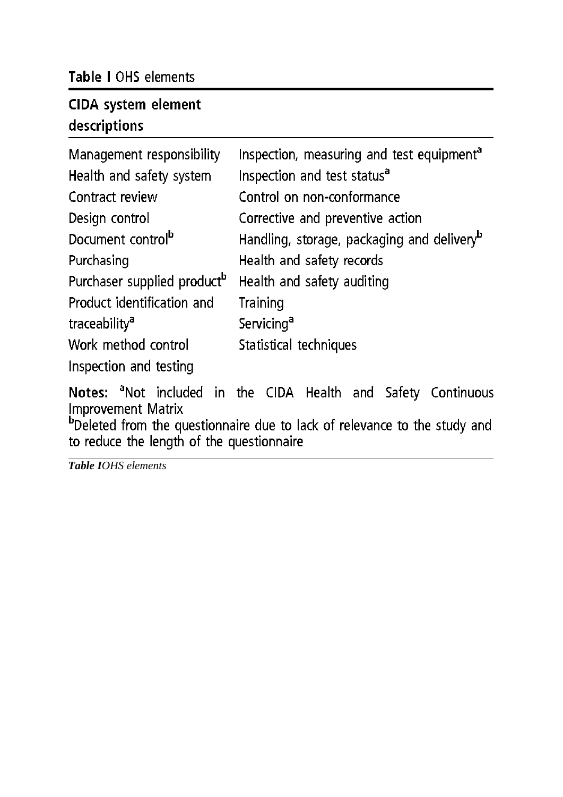### Table I OHS elements

## CIDA system element descriptions

| Management responsibility                                       | Inspection, measuring and test equipment <sup>a</sup>                                                                                                              |  |  |  |  |
|-----------------------------------------------------------------|--------------------------------------------------------------------------------------------------------------------------------------------------------------------|--|--|--|--|
| Health and safety system                                        | Inspection and test status <sup>a</sup>                                                                                                                            |  |  |  |  |
| Contract review                                                 | Control on non-conformance                                                                                                                                         |  |  |  |  |
| Design control                                                  | Corrective and preventive action                                                                                                                                   |  |  |  |  |
| Document control <sup>b</sup>                                   | Handling, storage, packaging and delivery <sup>b</sup>                                                                                                             |  |  |  |  |
| Purchasing                                                      | Health and safety records                                                                                                                                          |  |  |  |  |
| Purchaser supplied product <sup>b</sup>                         | Health and safety auditing                                                                                                                                         |  |  |  |  |
| Product identification and                                      | Training                                                                                                                                                           |  |  |  |  |
| traceability <sup>a</sup>                                       | Servicing <sup>a</sup>                                                                                                                                             |  |  |  |  |
| Work method control                                             | Statistical techniques                                                                                                                                             |  |  |  |  |
| Inspection and testing                                          |                                                                                                                                                                    |  |  |  |  |
| Improvement Matrix<br>to reduce the length of the questionnaire | Notes: <sup>a</sup> Not included in the CIDA Health and Safety Continuous<br><sup>b</sup> Deleted from the questionnaire due to lack of relevance to the study and |  |  |  |  |

*Table IOHS elements*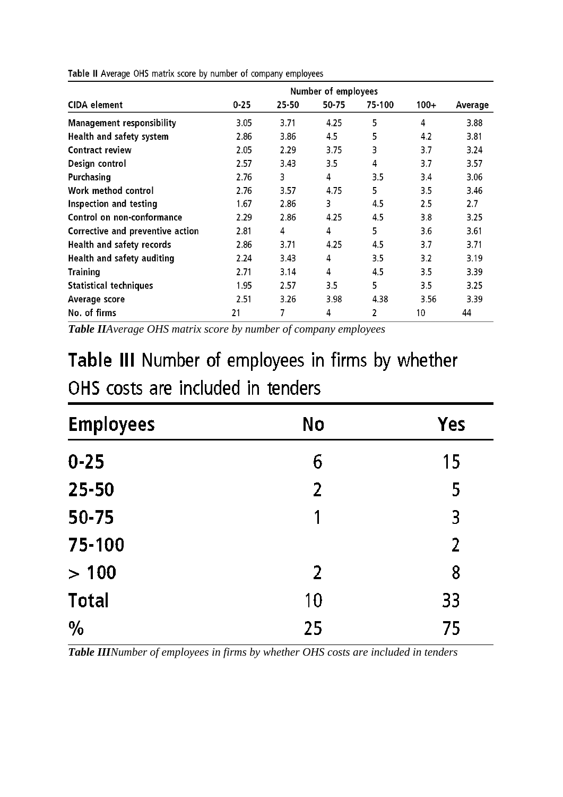|                                   | Number of employees |           |       |        |         |         |
|-----------------------------------|---------------------|-----------|-------|--------|---------|---------|
| <b>CIDA</b> element               | $0 - 25$            | $25 - 50$ | 50-75 | 75-100 | $100 +$ | Average |
| <b>Management responsibility</b>  | 3.05                | 3.71      | 4.25  | 5      | 4       | 3.88    |
| <b>Health and safety system</b>   | 2.86                | 386       | 4.5   | 5      | 4.2     | 3.81    |
| <b>Contract review</b>            | 2.05                | 2.29      | 3.75  | 3      | 3.7     | 3.24    |
| Design control                    | 2.57                | 3.43      | 3.5   | 4      | 3.7     | 3.57    |
| Purchasing                        | 2.76                | 3         | 4     | 3.5    | 3.4     | 3.06    |
| Work method control               | 2.76                | 3.57      | 4.75  | 5      | 3.5     | 3.46    |
| Inspection and testing            | 1.67                | 2.86      | 3     | 4.5    | 2.5     | 2.7     |
| Control on non-conformance        | 2.29                | 2.86      | 4.25  | 4.5    | 3.8     | 3.25    |
| Corrective and preventive action  | 2.81                | 4         | 4     | 5.     | 3.6     | 3.61    |
| <b>Health and safety records</b>  | 2.86                | 3.71      | 4.25  | 4.5    | 3.7     | 3.71    |
| <b>Health and safety auditing</b> | 2.24                | 3.43      | 4     | 3.5    | 3.2     | 3.19    |
| <b>Training</b>                   | 2.71                | 3.14      | 4     | 4.5    | 3.5     | 3.39    |
| <b>Statistical techniques</b>     | 1.95                | 2.57      | 3.5   | 5      | 3.5     | 3.25    |
| <b>Average score</b>              | 2.51                | 3.26      | 3.98  | 438    | 3.56    | 3.39    |
| No. of firms                      | 21                  | 7         | 4     | 2      | 10      | 44      |

Table II Average OHS matrix score by number of company employees

*Table IIAverage OHS matrix score by number of company employees*

## Table III Number of employees in firms by whether OHS costs are included in tenders

| <b>Employees</b> | No             | <b>Yes</b>     |
|------------------|----------------|----------------|
| $0 - 25$         | 6              | 15             |
| $25 - 50$        | $\overline{2}$ | 5              |
| 50-75            | 1              | 3              |
| 75-100           |                | $\overline{2}$ |
| > 100            | $\overline{2}$ | 8              |
| <b>Total</b>     | 10             | 33             |
| $\frac{0}{0}$    | 25             | 75             |

*Table IIINumber of employees in firms by whether OHS costs are included in tenders*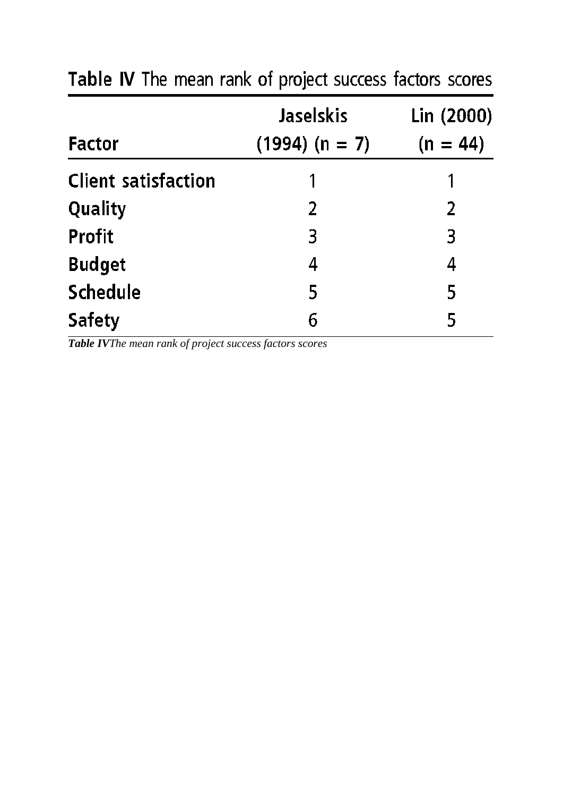| Factor                     | <b>Jaselskis</b><br>$(1994)$ (n = 7) | Lin (2000)<br>$(n = 44)$ |
|----------------------------|--------------------------------------|--------------------------|
| <b>Client satisfaction</b> |                                      |                          |
| Quality                    | 2                                    | 2                        |
| <b>Profit</b>              | 3                                    | 3                        |
| <b>Budget</b>              | 4                                    | 4                        |
| <b>Schedule</b>            | 5                                    | 5                        |
| <b>Safety</b>              |                                      | 5                        |

Table IV The mean rank of project success factors scores

*Table IVThe mean rank of project success factors scores*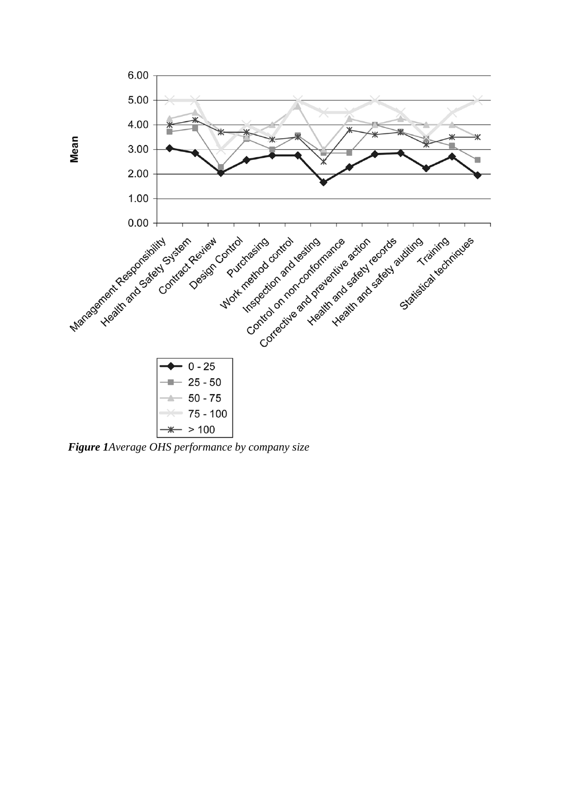

*Figure 1Average OHS performance by company size*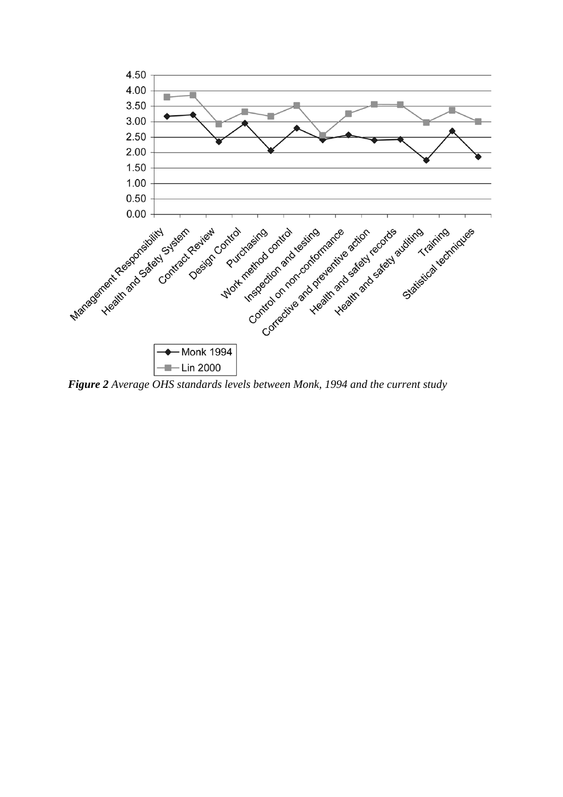

*Figure 2 Average OHS standards levels between Monk, 1994 and the current study*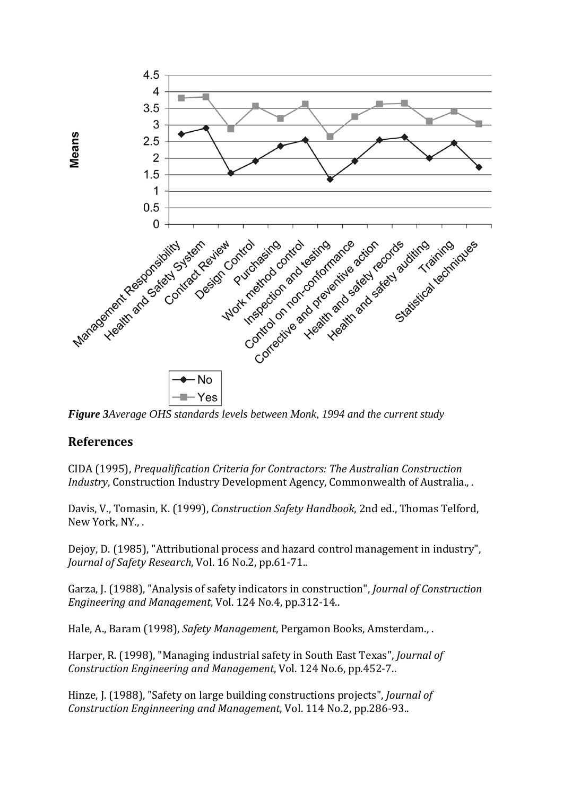

*Figure 3Average OHS standards levels between Monk, 1994 and the current study*

#### **References**

CIDA (1995), *Prequalification Criteria for Contractors: The Australian Construction Industry*, Construction Industry Development Agency, Commonwealth of Australia...

Davis, V., Tomasin, K. (1999), *Construction Safety Handbook*, 2nd ed., Thomas Telford, New York, NY.,.

Dejoy, D. (1985), "Attributional process and hazard control management in industry", *Journal of Safety Research, Vol.* 16 No.2, pp.61-71..

Garza, J. (1988), "Analysis of safety indicators in construction", *Journal of Construction Engineering and Management, Vol.* 124 No.4, pp.312-14..

Hale, A., Baram (1998), *Safety Management*, Pergamon Books, Amsterdam., .

Harper, R. (1998), "Managing industrial safety in South East Texas", *Journal of Construction Engineering and Management,* Vol. 124 No.6, pp.452-7..

Hinze, J. (1988), "Safety on large building constructions projects", *Journal of Construction Enginneering and Management*, Vol. 114 No.2, pp.286-93..